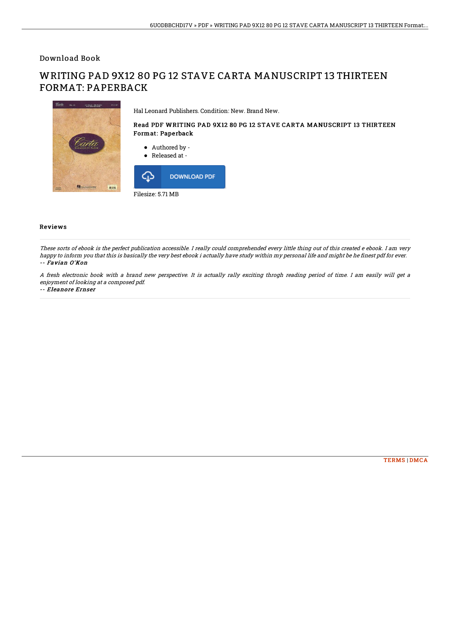Download Book

# WRITING PAD 9X12 80 PG 12 STAVE CARTA MANUSCRIPT 13 THIRTEEN FORMAT: PAPERBACK



Hal Leonard Publishers. Condition: New. Brand New.

### Read PDF WRITING PAD 9X12 80 PG 12 STAVE CARTA MANUSCRIPT 13 THIRTEEN Format: Paperback

Authored by -



#### Reviews

These sorts of ebook is the perfect publication accessible. I really could comprehended every little thing out of this created <sup>e</sup> ebook. I am very happy to inform you that this is basically the very best ebook i actually have study within my personal life and might be he finest pdf for ever. -- Favian O'Kon

A fresh electronic book with <sup>a</sup> brand new perspective. It is actually rally exciting throgh reading period of time. I am easily will get <sup>a</sup> enjoyment of looking at <sup>a</sup> composed pdf.

#### -- Eleanore Ernser